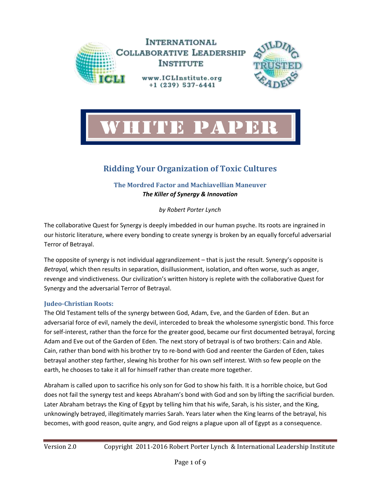



# **Ridding Your Organization of Toxic Cultures**

**The Mordred Factor and Machiavellian Maneuver**

*The Killer of Synergy & Innovation*

*by Robert Porter Lynch*

The collaborative Quest for Synergy is deeply imbedded in our human psyche. Its roots are ingrained in our historic literature, where every bonding to create synergy is broken by an equally forceful adversarial Terror of Betrayal.

The opposite of synergy is not individual aggrandizement – that is just the result. Synergy's opposite is *Betrayal,* which then results in separation, disillusionment, isolation, and often worse, such as anger, revenge and vindictiveness. Our civilization's written history is replete with the collaborative Quest for Synergy and the adversarial Terror of Betrayal.

# **Judeo-Christian Roots:**

The Old Testament tells of the synergy between God, Adam, Eve, and the Garden of Eden. But an adversarial force of evil, namely the devil, interceded to break the wholesome synergistic bond. This force for self-interest, rather than the force for the greater good, became our first documented betrayal, forcing Adam and Eve out of the Garden of Eden. The next story of betrayal is of two brothers: Cain and Able. Cain, rather than bond with his brother try to re-bond with God and reenter the Garden of Eden, takes betrayal another step farther, slewing his brother for his own self interest. With so few people on the earth, he chooses to take it all for himself rather than create more together.

Abraham is called upon to sacrifice his only son for God to show his faith. It is a horrible choice, but God does not fail the synergy test and keeps Abraham's bond with God and son by lifting the sacrificial burden. Later Abraham betrays the King of Egypt by telling him that his wife, Sarah, is his sister, and the King, unknowingly betrayed, illegitimately marries Sarah. Years later when the King learns of the betrayal, his becomes, with good reason, quite angry, and God reigns a plague upon all of Egypt as a consequence.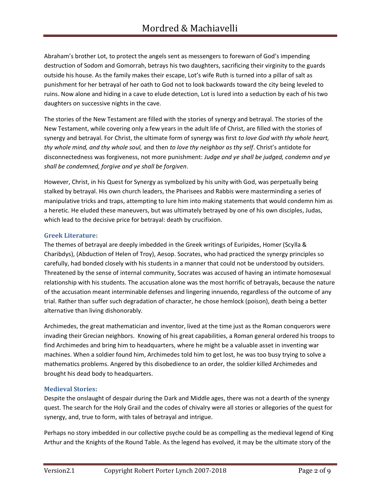Abraham's brother Lot, to protect the angels sent as messengers to forewarn of God's impending destruction of Sodom and Gomorrah, betrays his two daughters, sacrificing their virginity to the guards outside his house. As the family makes their escape, Lot's wife Ruth is turned into a pillar of salt as punishment for her betrayal of her oath to God not to look backwards toward the city being leveled to ruins. Now alone and hiding in a cave to elude detection, Lot is lured into a seduction by each of his two daughters on successive nights in the cave.

The stories of the New Testament are filled with the stories of synergy and betrayal. The stories of the New Testament, while covering only a few years in the adult life of Christ, are filled with the stories of synergy and betrayal. For Christ, the ultimate form of synergy was first *to love God with thy whole heart, thy whole mind, and thy whole soul,* and then *to love thy neighbor as thy self*. Christ's antidote for disconnectedness was forgiveness, not more punishment: *Judge and ye shall be judged, condemn and ye shall be condemned, forgive and ye shall be forgiven*.

However, Christ, in his Quest for Synergy as symbolized by his unity with God, was perpetually being stalked by betrayal. His own church leaders, the Pharisees and Rabbis were masterminding a series of manipulative tricks and traps, attempting to lure him into making statements that would condemn him as a heretic. He eluded these maneuvers, but was ultimately betrayed by one of his own disciples, Judas, which lead to the decisive price for betrayal: death by crucifixion.

# **Greek Literature:**

The themes of betrayal are deeply imbedded in the Greek writings of Euripides, Homer (Scylla & Charibdys), (Abduction of Helen of Troy), Aesop. Socrates, who had practiced the synergy principles so carefully, had bonded closely with his students in a manner that could not be understood by outsiders. Threatened by the sense of internal community, Socrates was accused of having an intimate homosexual relationship with his students. The accusation alone was the most horrific of betrayals, because the nature of the accusation meant interminable defenses and lingering innuendo, regardless of the outcome of any trial. Rather than suffer such degradation of character, he chose hemlock (poison), death being a better alternative than living dishonorably.

Archimedes, the great mathematician and inventor, lived at the time just as the Roman conquerors were invading their Grecian neighbors. Knowing of his great capabilities, a Roman general ordered his troops to find Archimedes and bring him to headquarters, where he might be a valuable asset in inventing war machines. When a soldier found him, Archimedes told him to get lost, he was too busy trying to solve a mathematics problems. Angered by this disobedience to an order, the soldier killed Archimedes and brought his dead body to headquarters.

# **Medieval Stories:**

Despite the onslaught of despair during the Dark and Middle ages, there was not a dearth of the synergy quest. The search for the Holy Grail and the codes of chivalry were all stories or allegories of the quest for synergy, and, true to form, with tales of betrayal and intrigue.

Perhaps no story imbedded in our collective psyche could be as compelling as the medieval legend of King Arthur and the Knights of the Round Table. As the legend has evolved, it may be the ultimate story of the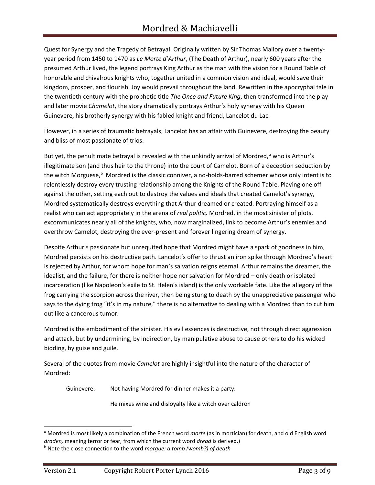Quest for Synergy and the Tragedy of Betrayal. Originally written by Sir Thomas Mallory over a twentyyear period from 1450 to 1470 as *Le Morte d'Arthur*, (The Death of Arthur), nearly 600 years after the presumed Arthur lived, the legend portrays King Arthur as the man with the vision for a Round Table of honorable and chivalrous knights who, together united in a common vision and ideal, would save their kingdom, prosper, and flourish. Joy would prevail throughout the land. Rewritten in the apocryphal tale in the twentieth century with the prophetic title *The Once and Future King*, then transformed into the play and later movie *Chamelot*, the story dramatically portrays Arthur's holy synergy with his Queen Guinevere, his brotherly synergy with his fabled knight and friend, Lancelot du Lac.

However, in a series of traumatic betrayals, Lancelot has an affair with Guinevere, destroying the beauty and bliss of most passionate of trios.

But yet, the penultimate betrayal is revealed with the unkindly arrival of Mordred, $a$  who is Arthur's illegitimate son (and thus heir to the throne) into the court of Camelot. Born of a deception seduction by the witch Morguese,<sup>b</sup> Mordred is the classic conniver, a no-holds-barred schemer whose only intent is to relentlessly destroy every trusting relationship among the Knights of the Round Table. Playing one off against the other, setting each out to destroy the values and ideals that created Camelot's synergy, Mordred systematically destroys everything that Arthur dreamed or created. Portraying himself as a realist who can act appropriately in the arena of *real politic,* Mordred, in the most sinister of plots, excommunicates nearly all of the knights, who, now marginalized, link to become Arthur's enemies and overthrow Camelot, destroying the ever-present and forever lingering dream of synergy.

Despite Arthur's passionate but unrequited hope that Mordred might have a spark of goodness in him, Mordred persists on his destructive path. Lancelot's offer to thrust an iron spike through Mordred's heart is rejected by Arthur, for whom hope for man's salvation reigns eternal. Arthur remains the dreamer, the idealist, and the failure, for there is neither hope nor salvation for Mordred – only death or isolated incarceration (like Napoleon's exile to St. Helen's island) is the only workable fate. Like the allegory of the frog carrying the scorpion across the river, then being stung to death by the unappreciative passenger who says to the dying frog "it's in my nature," there is no alternative to dealing with a Mordred than to cut him out like a cancerous tumor.

Mordred is the embodiment of the sinister. His evil essences is destructive, not through direct aggression and attack, but by undermining, by indirection, by manipulative abuse to cause others to do his wicked bidding, by guise and guile.

Several of the quotes from movie *Camelot* are highly insightful into the nature of the character of Mordred:

Guinevere: Not having Mordred for dinner makes it a party:

He mixes wine and disloyalty like a witch over caldron

<sup>a</sup> Mordred is most likely a combination of the French word *morte* (as in mortician) for death, and old English word *draden,* meaning terror or fear, from which the current word *dread* is derived.)

<sup>b</sup> Note the close connection to the word *morgue: a tomb (womb?) of death*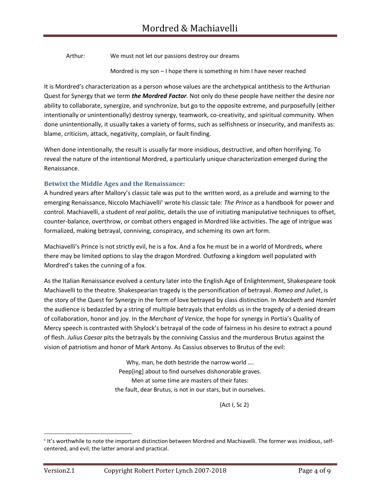Arthur: We must not let our passions destroy our dreams

Mordred is my son – I hope there is something in him I have never reached

It is Mordred's characterization as a person whose values are the archetypical antithesis to the Arthurian Quest for Synergy that we term *the Mordred Factor.* Not only do these people have neither the desire nor ability to collaborate, synergize, and synchronize, but go to the opposite extreme, and purposefully (either intentionally or unintentionally) destroy synergy, teamwork, co-creativity, and spiritual community. When done unintentionally, it usually takes a variety of forms, such as selfishness or insecurity, and manifests as: blame, criticism, attack, negativity, complain, or fault finding.

When done intentionally, the result is usually far more insidious, destructive, and often horrifying. To reveal the nature of the intentional Mordred, a particularly unique characterization emerged during the Renaissance.

# **Betwixt the Middle Ages and the Renaissance:**

A hundred years after Mallory's classic tale was put to the written word, as a prelude and warning to the emerging Renaissance, Niccolo Machiavelli<sup>c</sup> wrote his classic tale: *The Prince* as a handbook for power and control. Machiavelli, a student of *real politic,* details the use of initiating manipulative techniques to offset, counter-balance, overthrow, or combat others engaged in Mordred like activities. The age of intrigue was formalized, making betrayal, conniving, conspiracy, and scheming its own art form.

Machiavelli's Prince is not strictly evil, he is a fox. And a fox he must be in a world of Mordreds, where there may be limited options to slay the dragon Mordred. Outfoxing a kingdom well populated with Mordred's takes the cunning of a fox.

As the Italian Renaissance evolved a century later into the English Age of Enlightenment, Shakespeare took Machiavelli to the theatre. Shakespearian tragedy is the personification of betrayal. *Romeo and Juliet*, is the story of the Quest for Synergy in the form of love betrayed by class distinction. In *Macbeth* and *Hamlet* the audience is bedazzled by a string of multiple betrayals that enfolds us in the tragedy of a denied dream of collaboration, honor and joy. In the *Merchant of Venice*, the hope for synergy in Portia's Quality of Mercy speech is contrasted with Shylock's betrayal of the code of fairness in his desire to extract a pound of flesh. *Julius Caesar* pits the betrayals by the conniving Cassius and the murderous Brutus against the vision of patriotism and honor of Mark Antony. As Cassius observes to Brutus of the evil:

> Why, man, he doth bestride the narrow world .... Peep[ing] about to find ourselves dishonorable graves. Men at some time are masters of their fates: the fault, dear Brutus, is not in our stars, but in ourselves.

> > (Act I, Sc 2)

c It's worthwhile to note the important distinction between Mordred and Machiavelli. The former was insidious, selfcentered, and evil; the latter amoral and practical.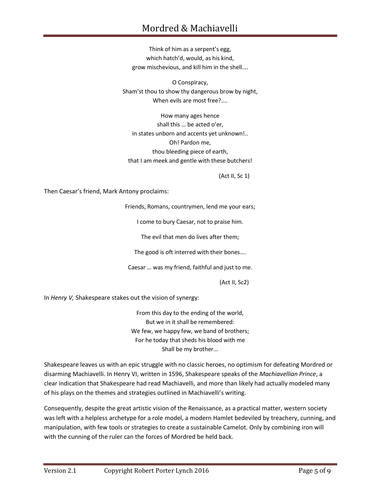# Mordred & Machiavelli

Think of him as a serpent's egg, which hatch'd, would, as his kind, grow mischevious, and kill him in the shell….

O Conspiracy, Sham'st thou to show thy dangerous brow by night, When evils are most free?....

How many ages hence shall this … be acted o'er, in states unborn and accents yet unknown!.. Oh! Pardon me, thou bleeding piece of earth, that I am meek and gentle with these butchers!

(Act II, Sc 1)

Then Caesar's friend, Mark Antony proclaims:

Friends, Romans, countrymen, lend me your ears;

I come to bury Caesar, not to praise him.

The evil that men do lives after them;

The good is oft interred with their bones….

Caesar … was my friend, faithful and just to me.

(Act II, Sc2)

In *Henry V,* Shakespeare stakes out the vision of synergy:

From this day to the ending of the world, But we in it shall be remembered: We few, we happy few, we band of brothers; For he today that sheds his blood with me Shall be my brother...

Shakespeare leaves us with an epic struggle with no classic heroes, no optimism for defeating Mordred or disarming Machiavelli. In Henry VI, written in 1596, Shakespeare speaks of the *Machiavellian Prince*, a clear indication that Shakespeare had read Machiavelli, and more than likely had actually modeled many of his plays on the themes and strategies outlined in Machiavelli's writing.

Consequently, despite the great artistic vision of the Renaissance, as a practical matter, western society was left with a helpless archetype for a role model, a modern Hamlet bedeviled by treachery, cunning, and manipulation, with few tools or strategies to create a sustainable Camelot. Only by combining iron will with the cunning of the ruler can the forces of Mordred be held back.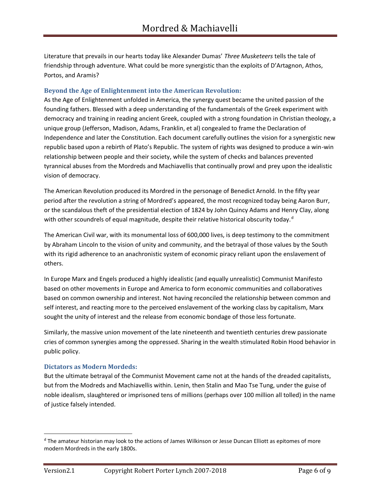Literature that prevails in our hearts today like Alexander Dumas' *Three Musketeers* tells the tale of friendship through adventure. What could be more synergistic than the exploits of D'Artagnon, Athos, Portos, and Aramis?

#### **Beyond the Age of Enlightenment into the American Revolution:**

As the Age of Enlightenment unfolded in America, the synergy quest became the united passion of the founding fathers. Blessed with a deep understanding of the fundamentals of the Greek experiment with democracy and training in reading ancient Greek, coupled with a strong foundation in Christian theology, a unique group (Jefferson, Madison, Adams, Franklin, et al) congealed to frame the Declaration of Independence and later the Constitution. Each document carefully outlines the vision for a synergistic new republic based upon a rebirth of Plato's Republic. The system of rights was designed to produce a win-win relationship between people and their society, while the system of checks and balances prevented tyrannical abuses from the Mordreds and Machiavellis that continually prowl and prey upon the idealistic vision of democracy.

The American Revolution produced its Mordred in the personage of Benedict Arnold. In the fifty year period after the revolution a string of Mordred's appeared, the most recognized today being Aaron Burr, or the scandalous theft of the presidential election of 1824 by John Quincy Adams and Henry Clay, along with other scoundrels of equal magnitude, despite their relative historical obscurity today.<sup>d</sup>

The American Civil war, with its monumental loss of 600,000 lives, is deep testimony to the commitment by Abraham Lincoln to the vision of unity and community, and the betrayal of those values by the South with its rigid adherence to an anachronistic system of economic piracy reliant upon the enslavement of others.

In Europe Marx and Engels produced a highly idealistic (and equally unrealistic) Communist Manifesto based on other movements in Europe and America to form economic communities and collaboratives based on common ownership and interest. Not having reconciled the relationship between common and self interest, and reacting more to the perceived enslavement of the working class by capitalism, Marx sought the unity of interest and the release from economic bondage of those less fortunate.

Similarly, the massive union movement of the late nineteenth and twentieth centuries drew passionate cries of common synergies among the oppressed. Sharing in the wealth stimulated Robin Hood behavior in public policy.

# **Dictators as Modern Mordeds:**

But the ultimate betrayal of the Communist Movement came not at the hands of the dreaded capitalists, but from the Modreds and Machiavellis within. Lenin, then Stalin and Mao Tse Tung, under the guise of noble idealism, slaughtered or imprisoned tens of millions (perhaps over 100 million all tolled) in the name of justice falsely intended.

<sup>d</sup> The amateur historian may look to the actions of James Wilkinson or Jesse Duncan Elliott as epitomes of more modern Mordreds in the early 1800s.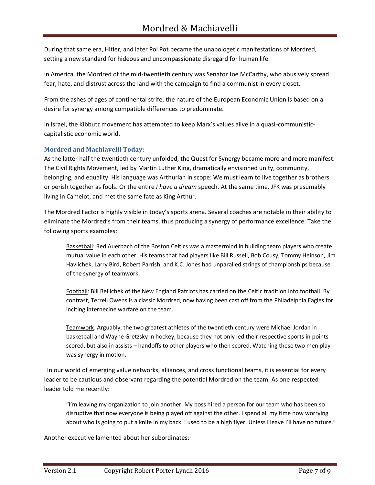During that same era, Hitler, and later Pol Pot became the unapologetic manifestations of Mordred, setting a new standard for hideous and uncompassionate disregard for human life.

In America, the Mordred of the mid-twentieth century was Senator Joe McCarthy, who abusively spread fear, hate, and distrust across the land with the campaign to find a communist in every closet.

From the ashes of ages of continental strife, the nature of the European Economic Union is based on a desire for synergy among compatible differences to predominate.

In Israel, the Kibbutz movement has attempted to keep Marx's values alive in a quasi-communisticcapitalistic economic world.

# **Mordred and Machiavelli Today:**

As the latter half the twentieth century unfolded, the Quest for Synergy became more and more manifest. The Civil Rights Movement, led by Martin Luther King, dramatically envisioned unity, community, belonging, and equality. His language was Arthurian in scope: We must learn to live together as brothers or perish together as fools. Or the entire *I have a dream* speech. At the same time, JFK was presumably living in Camelot, and met the same fate as King Arthur.

The Mordred Factor is highly visible in today's sports arena. Several coaches are notable in their ability to eliminate the Mordred's from their teams, thus producing a synergy of performance excellence. Take the following sports examples:

Basketball: Red Auerbach of the Boston Celtics was a mastermind in building team players who create mutual value in each other. His teams that had players like Bill Russell, Bob Cousy, Tommy Heinson, Jim Havlichek, Larry Bird, Robert Parrish, and K.C. Jones had unparalled strings of championships because of the synergy of teamwork.

Football: Bill Bellichek of the New England Patriots has carried on the Celtic tradition into football. By contrast, Terrell Owens is a classic Mordred, now having been cast off from the Philadelphia Eagles for inciting internecine warfare on the team.

Teamwork: Arguably, the two greatest athletes of the twentieth century were Michael Jordan in basketball and Wayne Gretzsky in hockey, because they not only led their respective sports in points scored, but also in assists – handoffs to other players who then scored. Watching these two men play was synergy in motion.

 In our world of emerging value networks, alliances, and cross functional teams, it is essential for every leader to be cautious and observant regarding the potential Mordred on the team. As one respected leader told me recently:

"I'm leaving my organization to join another. My boss hired a person for our team who has been so disruptive that now everyone is being played off against the other. I spend all my time now worrying about who is going to put a knife in my back. I used to be a high flyer. Unless I leave I'll have no future."

Another executive lamented about her subordinates: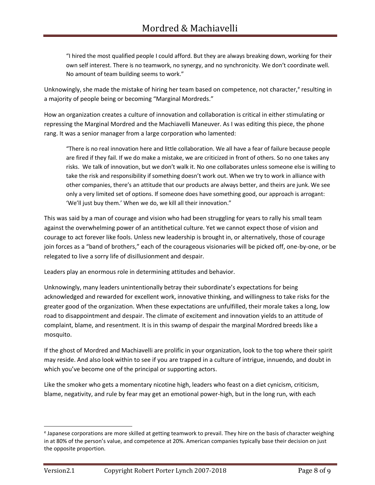"I hired the most qualified people I could afford. But they are always breaking down, working for their own self interest. There is no teamwork, no synergy, and no synchronicity. We don't coordinate well. No amount of team building seems to work."

Unknowingly, she made the mistake of hiring her team based on competence, not character,<sup>e</sup> resulting in a majority of people being or becoming "Marginal Mordreds."

How an organization creates a culture of innovation and collaboration is critical in either stimulating or repressing the Marginal Mordred and the Machiavelli Maneuver. As I was editing this piece, the phone rang. It was a senior manager from a large corporation who lamented:

"There is no real innovation here and little collaboration. We all have a fear of failure because people are fired if they fail. If we do make a mistake, we are criticized in front of others. So no one takes any risks. We talk of innovation, but we don't walk it. No one collaborates unless someone else is willing to take the risk and responsibility if something doesn't work out. When we try to work in alliance with other companies, there's an attitude that our products are always better, and theirs are junk. We see only a very limited set of options. If someone does have something good, our approach is arrogant: 'We'll just buy them.' When we do, we kill all their innovation."

This was said by a man of courage and vision who had been struggling for years to rally his small team against the overwhelming power of an antithetical culture. Yet we cannot expect those of vision and courage to act forever like fools. Unless new leadership is brought in, or alternatively, those of courage join forces as a "band of brothers," each of the courageous visionaries will be picked off, one-by-one, or be relegated to live a sorry life of disillusionment and despair.

Leaders play an enormous role in determining attitudes and behavior.

Unknowingly, many leaders unintentionally betray their subordinate's expectations for being acknowledged and rewarded for excellent work, innovative thinking, and willingness to take risks for the greater good of the organization. When these expectations are unfulfilled, their morale takes a long, low road to disappointment and despair. The climate of excitement and innovation yields to an attitude of complaint, blame, and resentment. It is in this swamp of despair the marginal Mordred breeds like a mosquito.

If the ghost of Mordred and Machiavelli are prolific in your organization, look to the top where their spirit may reside. And also look within to see if you are trapped in a culture of intrigue, innuendo, and doubt in which you've become one of the principal or supporting actors.

Like the smoker who gets a momentary nicotine high, leaders who feast on a diet cynicism, criticism, blame, negativity, and rule by fear may get an emotional power-high, but in the long run, with each

<sup>&</sup>lt;sup>e</sup> Japanese corporations are more skilled at getting teamwork to prevail. They hire on the basis of character weighing in at 80% of the person's value, and competence at 20%. American companies typically base their decision on just the opposite proportion.